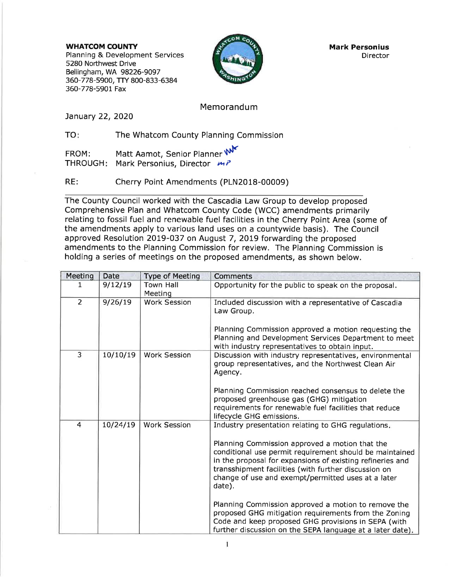WHATCOM COUNTY Planning & Development Services 5280 Northwest Drive Bellingham, WA 98226-9097 360-778-5900, TTY 800-833-6384 360-778-5901 Fax



Mark Personius **Director** 

### Memorandum

January 22, 2020

TO: The Whatcom County Planning Commission

FROM: THROUGH: Mark Personius, Director  $mP$ Matt Aamot, Senior Planner W

RE: Cherry Point Amendments (PLN2018-00009)

The County Council worked with the Cascadia Law Group to develop proposed Comprehensive Plan and Whatcom County Code (WCC) amendments primarily relating to fossil fuel and renewable fuel facilities in the Cherry Point Area (some of the amendments apply to various land uses on a countywide basis). The Council approved Resolution 2019-037 on August 7, 2OL9 forwarding the proposed amendments to the Planning Commission for review. The Planning Commission is holding a series of meetings on the proposed amendments, as shown below.

| Meeting        | Date     | <b>Type of Meeting</b> | <b>Comments</b>                                                                                                                                                                                                                                                                                                                                      |
|----------------|----------|------------------------|------------------------------------------------------------------------------------------------------------------------------------------------------------------------------------------------------------------------------------------------------------------------------------------------------------------------------------------------------|
| 1.             | 9/12/19  | Town Hall              | Opportunity for the public to speak on the proposal.                                                                                                                                                                                                                                                                                                 |
|                |          | Meeting                |                                                                                                                                                                                                                                                                                                                                                      |
| $\overline{2}$ | 9/26/19  | <b>Work Session</b>    | Included discussion with a representative of Cascadia<br>Law Group.<br>Planning Commission approved a motion requesting the                                                                                                                                                                                                                          |
|                |          |                        | Planning and Development Services Department to meet<br>with industry representatives to obtain input.                                                                                                                                                                                                                                               |
| $\overline{3}$ | 10/10/19 | <b>Work Session</b>    | Discussion with industry representatives, environmental<br>group representatives, and the Northwest Clean Air<br>Agency.                                                                                                                                                                                                                             |
|                |          |                        | Planning Commission reached consensus to delete the<br>proposed greenhouse gas (GHG) mitigation<br>requirements for renewable fuel facilities that reduce<br>lifecycle GHG emissions.                                                                                                                                                                |
| $\overline{4}$ | 10/24/19 | Work Session           | Industry presentation relating to GHG regulations.<br>Planning Commission approved a motion that the<br>conditional use permit requirement should be maintained<br>in the proposal for expansions of existing refineries and<br>transshipment facilities (with further discussion on<br>change of use and exempt/permitted uses at a later<br>date). |
|                |          |                        | Planning Commission approved a motion to remove the<br>proposed GHG mitigation requirements from the Zoning<br>Code and keep proposed GHG provisions in SEPA (with<br>further discussion on the SEPA language at a later date).                                                                                                                      |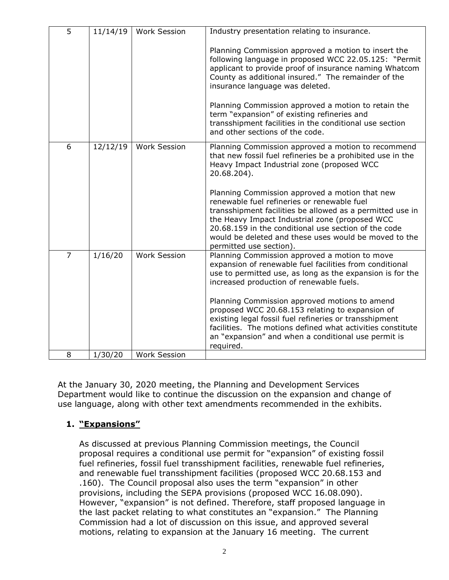| 5              | 11/14/19 | <b>Work Session</b> | Industry presentation relating to insurance.                                                                                                                                                                                                                                                                                                             |
|----------------|----------|---------------------|----------------------------------------------------------------------------------------------------------------------------------------------------------------------------------------------------------------------------------------------------------------------------------------------------------------------------------------------------------|
|                |          |                     | Planning Commission approved a motion to insert the<br>following language in proposed WCC 22.05.125: "Permit<br>applicant to provide proof of insurance naming Whatcom<br>County as additional insured." The remainder of the<br>insurance language was deleted.<br>Planning Commission approved a motion to retain the                                  |
|                |          |                     | term "expansion" of existing refineries and<br>transshipment facilities in the conditional use section<br>and other sections of the code.                                                                                                                                                                                                                |
| 6              | 12/12/19 | <b>Work Session</b> | Planning Commission approved a motion to recommend<br>that new fossil fuel refineries be a prohibited use in the<br>Heavy Impact Industrial zone (proposed WCC<br>20.68.204).                                                                                                                                                                            |
|                |          |                     | Planning Commission approved a motion that new<br>renewable fuel refineries or renewable fuel<br>transshipment facilities be allowed as a permitted use in<br>the Heavy Impact Industrial zone (proposed WCC<br>20.68.159 in the conditional use section of the code<br>would be deleted and these uses would be moved to the<br>permitted use section). |
| $\overline{7}$ | 1/16/20  | <b>Work Session</b> | Planning Commission approved a motion to move<br>expansion of renewable fuel facilities from conditional<br>use to permitted use, as long as the expansion is for the<br>increased production of renewable fuels.                                                                                                                                        |
|                |          |                     | Planning Commission approved motions to amend<br>proposed WCC 20.68.153 relating to expansion of<br>existing legal fossil fuel refineries or transshipment<br>facilities. The motions defined what activities constitute<br>an "expansion" and when a conditional use permit is<br>required.                                                             |
| 8              | 1/30/20  | <b>Work Session</b> |                                                                                                                                                                                                                                                                                                                                                          |

At the January 30, 2020 meeting, the Planning and Development Services Department would like to continue the discussion on the expansion and change of use language, along with other text amendments recommended in the exhibits.

# **1. "Expansions"**

As discussed at previous Planning Commission meetings, the Council proposal requires a conditional use permit for "expansion" of existing fossil fuel refineries, fossil fuel transshipment facilities, renewable fuel refineries, and renewable fuel transshipment facilities (proposed WCC 20.68.153 and .160). The Council proposal also uses the term "expansion" in other provisions, including the SEPA provisions (proposed WCC 16.08.090). However, "expansion" is not defined. Therefore, staff proposed language in the last packet relating to what constitutes an "expansion." The Planning Commission had a lot of discussion on this issue, and approved several motions, relating to expansion at the January 16 meeting. The current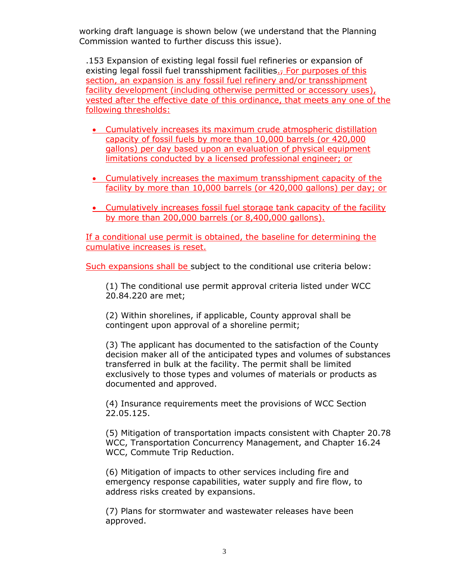working draft language is shown below (we understand that the Planning Commission wanted to further discuss this issue).

.153 Expansion of existing legal fossil fuel refineries or expansion of existing legal fossil fuel transshipment facilities. $<sub>7</sub>$  For purposes of this</sub> section, an expansion is any fossil fuel refinery and/or transshipment facility development (including otherwise permitted or accessory uses), vested after the effective date of this ordinance, that meets any one of the following thresholds:

- Cumulatively increases its maximum crude atmospheric distillation capacity of fossil fuels by more than 10,000 barrels (or 420,000 gallons) per day based upon an evaluation of physical equipment limitations conducted by a licensed professional engineer; or
- Cumulatively increases the maximum transshipment capacity of the facility by more than 10,000 barrels (or 420,000 gallons) per day; or
- Cumulatively increases fossil fuel storage tank capacity of the facility by more than 200,000 barrels (or 8,400,000 gallons).

If a conditional use permit is obtained, the baseline for determining the cumulative increases is reset.

Such expansions shall be subject to the conditional use criteria below:

(1) The conditional use permit approval criteria listed under WCC 20.84.220 are met;

(2) Within shorelines, if applicable, County approval shall be contingent upon approval of a shoreline permit;

(3) The applicant has documented to the satisfaction of the County decision maker all of the anticipated types and volumes of substances transferred in bulk at the facility. The permit shall be limited exclusively to those types and volumes of materials or products as documented and approved.

(4) Insurance requirements meet the provisions of WCC Section 22.05.125.

(5) Mitigation of transportation impacts consistent with Chapter 20.78 WCC, Transportation Concurrency Management, and Chapter 16.24 WCC, Commute Trip Reduction.

(6) Mitigation of impacts to other services including fire and emergency response capabilities, water supply and fire flow, to address risks created by expansions.

(7) Plans for stormwater and wastewater releases have been approved.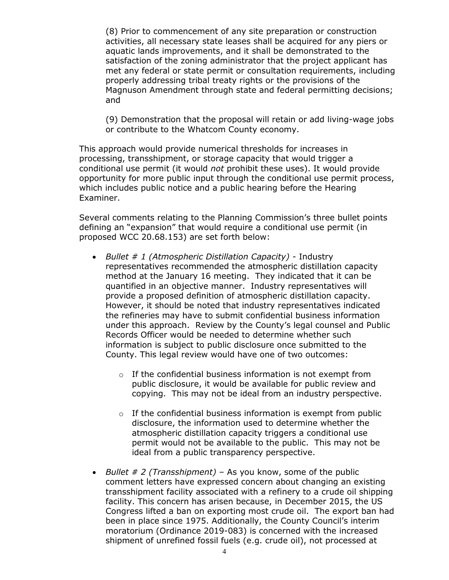(8) Prior to commencement of any site preparation or construction activities, all necessary state leases shall be acquired for any piers or aquatic lands improvements, and it shall be demonstrated to the satisfaction of the zoning administrator that the project applicant has met any federal or state permit or consultation requirements, including properly addressing tribal treaty rights or the provisions of the Magnuson Amendment through state and federal permitting decisions; and

(9) Demonstration that the proposal will retain or add living-wage jobs or contribute to the Whatcom County economy.

This approach would provide numerical thresholds for increases in processing, transshipment, or storage capacity that would trigger a conditional use permit (it would *not* prohibit these uses). It would provide opportunity for more public input through the conditional use permit process, which includes public notice and a public hearing before the Hearing Examiner.

Several comments relating to the Planning Commission's three bullet points defining an "expansion" that would require a conditional use permit (in proposed WCC 20.68.153) are set forth below:

- *Bullet # 1 (Atmospheric Distillation Capacity)* Industry representatives recommended the atmospheric distillation capacity method at the January 16 meeting. They indicated that it can be quantified in an objective manner. Industry representatives will provide a proposed definition of atmospheric distillation capacity. However, it should be noted that industry representatives indicated the refineries may have to submit confidential business information under this approach. Review by the County's legal counsel and Public Records Officer would be needed to determine whether such information is subject to public disclosure once submitted to the County. This legal review would have one of two outcomes:
	- o If the confidential business information is not exempt from public disclosure, it would be available for public review and copying. This may not be ideal from an industry perspective.
	- $\circ$  If the confidential business information is exempt from public disclosure, the information used to determine whether the atmospheric distillation capacity triggers a conditional use permit would not be available to the public. This may not be ideal from a public transparency perspective.
- *Bullet # 2 (Transshipment)* As you know, some of the public comment letters have expressed concern about changing an existing transshipment facility associated with a refinery to a crude oil shipping facility. This concern has arisen because, in December 2015, the US Congress lifted a ban on exporting most crude oil. The export ban had been in place since 1975. Additionally, the County Council's interim moratorium (Ordinance 2019-083) is concerned with the increased shipment of unrefined fossil fuels (e.g. crude oil), not processed at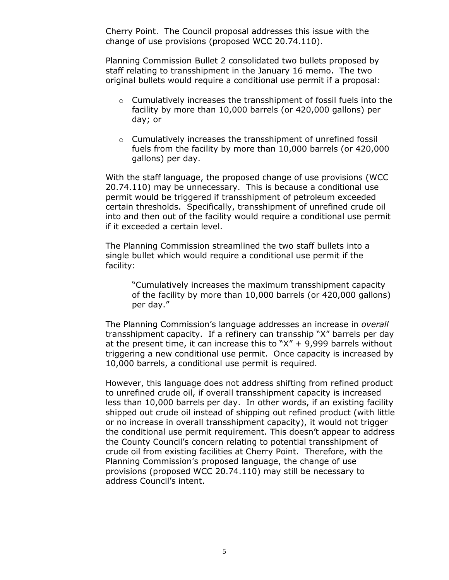Cherry Point. The Council proposal addresses this issue with the change of use provisions (proposed WCC 20.74.110).

Planning Commission Bullet 2 consolidated two bullets proposed by staff relating to transshipment in the January 16 memo. The two original bullets would require a conditional use permit if a proposal:

- $\circ$  Cumulatively increases the transshipment of fossil fuels into the facility by more than 10,000 barrels (or 420,000 gallons) per day; or
- o Cumulatively increases the transshipment of unrefined fossil fuels from the facility by more than 10,000 barrels (or 420,000 gallons) per day.

With the staff language, the proposed change of use provisions (WCC 20.74.110) may be unnecessary. This is because a conditional use permit would be triggered if transshipment of petroleum exceeded certain thresholds. Specifically, transshipment of unrefined crude oil into and then out of the facility would require a conditional use permit if it exceeded a certain level.

The Planning Commission streamlined the two staff bullets into a single bullet which would require a conditional use permit if the facility:

> "Cumulatively increases the maximum transshipment capacity of the facility by more than 10,000 barrels (or 420,000 gallons) per day."

The Planning Commission's language addresses an increase in *overall* transshipment capacity. If a refinery can transship "X" barrels per day at the present time, it can increase this to " $X'' + 9,999$  barrels without triggering a new conditional use permit. Once capacity is increased by 10,000 barrels, a conditional use permit is required.

However, this language does not address shifting from refined product to unrefined crude oil, if overall transshipment capacity is increased less than 10,000 barrels per day. In other words, if an existing facility shipped out crude oil instead of shipping out refined product (with little or no increase in overall transshipment capacity), it would not trigger the conditional use permit requirement. This doesn't appear to address the County Council's concern relating to potential transshipment of crude oil from existing facilities at Cherry Point. Therefore, with the Planning Commission's proposed language, the change of use provisions (proposed WCC 20.74.110) may still be necessary to address Council's intent.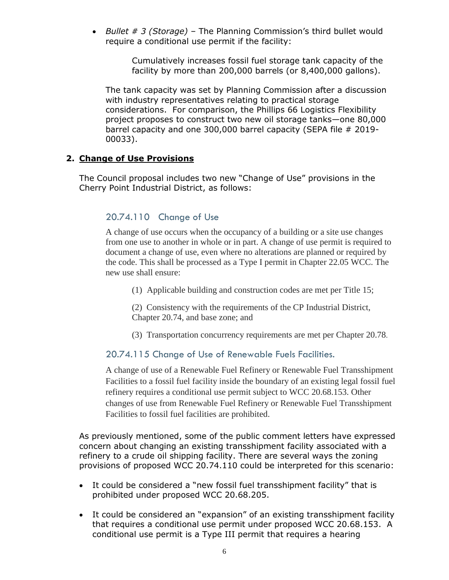*Bullet # 3 (Storage)* – The Planning Commission's third bullet would require a conditional use permit if the facility:

> Cumulatively increases fossil fuel storage tank capacity of the facility by more than 200,000 barrels (or 8,400,000 gallons).

The tank capacity was set by Planning Commission after a discussion with industry representatives relating to practical storage considerations. For comparison, the Phillips 66 Logistics Flexibility project proposes to construct two new oil storage tanks—one 80,000 barrel capacity and one 300,000 barrel capacity (SEPA file # 2019- 00033).

## **2. Change of Use Provisions**

The Council proposal includes two new "Change of Use" provisions in the Cherry Point Industrial District, as follows:

# 20.74.110 Change of Use

A change of use occurs when the occupancy of a building or a site use changes from one use to another in whole or in part. A change of use permit is required to document a change of use, even where no alterations are planned or required by the code. This shall be processed as a Type I permit in Chapter 22.05 WCC. The new use shall ensure:

(1) Applicable building and construction codes are met per Title 15;

(2) Consistency with the requirements of the CP Industrial District, Chapter 20.74, and base zone; and

(3) Transportation concurrency requirements are met per Chapter 20.78.

# 20.74.115 Change of Use of Renewable Fuels Facilities.

A change of use of a Renewable Fuel Refinery or Renewable Fuel Transshipment Facilities to a fossil fuel facility inside the boundary of an existing legal fossil fuel refinery requires a conditional use permit subject to WCC 20.68.153. Other changes of use from Renewable Fuel Refinery or Renewable Fuel Transshipment Facilities to fossil fuel facilities are prohibited.

As previously mentioned, some of the public comment letters have expressed concern about changing an existing transshipment facility associated with a refinery to a crude oil shipping facility. There are several ways the zoning provisions of proposed WCC 20.74.110 could be interpreted for this scenario:

- It could be considered a "new fossil fuel transshipment facility" that is prohibited under proposed WCC 20.68.205.
- It could be considered an "expansion" of an existing transshipment facility that requires a conditional use permit under proposed WCC 20.68.153. A conditional use permit is a Type III permit that requires a hearing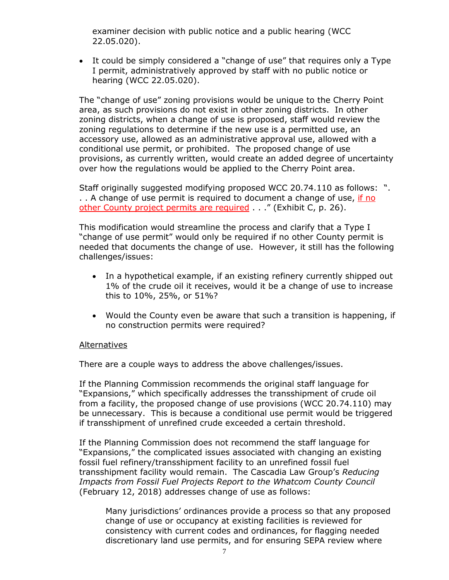examiner decision with public notice and a public hearing (WCC 22.05.020).

 It could be simply considered a "change of use" that requires only a Type I permit, administratively approved by staff with no public notice or hearing (WCC 22.05.020).

The "change of use" zoning provisions would be unique to the Cherry Point area, as such provisions do not exist in other zoning districts. In other zoning districts, when a change of use is proposed, staff would review the zoning regulations to determine if the new use is a permitted use, an accessory use, allowed as an administrative approval use, allowed with a conditional use permit, or prohibited. The proposed change of use provisions, as currently written, would create an added degree of uncertainty over how the regulations would be applied to the Cherry Point area.

Staff originally suggested modifying proposed WCC 20.74.110 as follows: ". . . A change of use permit is required to document a change of use, if no other County project permits are required . . " (Exhibit C, p. 26).

This modification would streamline the process and clarify that a Type I "change of use permit" would only be required if no other County permit is needed that documents the change of use. However, it still has the following challenges/issues:

- In a hypothetical example, if an existing refinery currently shipped out 1% of the crude oil it receives, would it be a change of use to increase this to 10%, 25%, or 51%?
- Would the County even be aware that such a transition is happening, if no construction permits were required?

#### Alternatives

There are a couple ways to address the above challenges/issues.

If the Planning Commission recommends the original staff language for "Expansions," which specifically addresses the transshipment of crude oil from a facility, the proposed change of use provisions (WCC 20.74.110) may be unnecessary. This is because a conditional use permit would be triggered if transshipment of unrefined crude exceeded a certain threshold.

If the Planning Commission does not recommend the staff language for "Expansions," the complicated issues associated with changing an existing fossil fuel refinery/transshipment facility to an unrefined fossil fuel transshipment facility would remain. The Cascadia Law Group's *Reducing Impacts from Fossil Fuel Projects Report to the Whatcom County Council* (February 12, 2018) addresses change of use as follows:

Many jurisdictions' ordinances provide a process so that any proposed change of use or occupancy at existing facilities is reviewed for consistency with current codes and ordinances, for flagging needed discretionary land use permits, and for ensuring SEPA review where